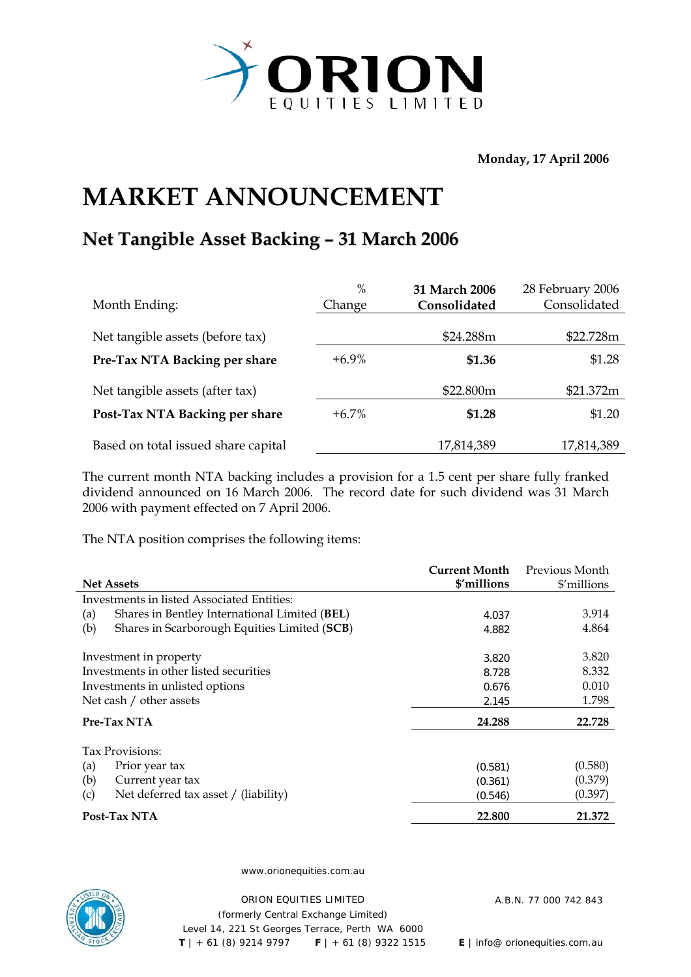

**Monday, 17 April 2006** 

## **MARKET ANNOUNCEMENT**

## **Net Tangible Asset Backing – 31 March 2006**

| Month Ending:                       | $\%$<br>Change | 31 March 2006<br>Consolidated | 28 February 2006<br>Consolidated |
|-------------------------------------|----------------|-------------------------------|----------------------------------|
| Net tangible assets (before tax)    |                | \$24.288m                     | \$22.728m                        |
| Pre-Tax NTA Backing per share       | $+6.9\%$       | \$1.36                        | \$1.28                           |
| Net tangible assets (after tax)     |                | \$22.800m                     | \$21.372m                        |
| Post-Tax NTA Backing per share      | $+6.7\%$       | \$1.28                        | \$1.20                           |
| Based on total issued share capital |                | 17,814,389                    | 17,814,389                       |

The current month NTA backing includes a provision for a 1.5 cent per share fully franked dividend announced on 16 March 2006. The record date for such dividend was 31 March 2006 with payment effected on 7 April 2006.

The NTA position comprises the following items:

|                                                      | <b>Current Month</b> | Previous Month |
|------------------------------------------------------|----------------------|----------------|
| <b>Net Assets</b>                                    | \$'millions          | \$'millions    |
| Investments in listed Associated Entities:           |                      |                |
| (a)<br>Shares in Bentley International Limited (BEL) | 4.037                | 3.914          |
| Shares in Scarborough Equities Limited (SCB)<br>(b)  | 4.882                | 4.864          |
| Investment in property                               | 3.820                | 3.820          |
| Investments in other listed securities               | 8.728                | 8.332          |
| Investments in unlisted options                      | 0.676                | 0.010          |
| Net cash / other assets                              | 2.145                | 1.798          |
| Pre-Tax NTA                                          | 24.288               | 22.728         |
| Tax Provisions:                                      |                      |                |
| (a)<br>Prior year tax                                | (0.581)              | (0.580)        |
| (b)<br>Current year tax                              | (0.361)              | (0.379)        |
| (c)<br>Net deferred tax asset / (liability)          | (0.546)              | (0.397)        |
| Post-Tax NTA                                         | 22.800               | 21.372         |



www.orionequities.com.au

ORION EQUITIES LIMITED A.B.N. 77 000 742 843 (formerly Central Exchange Limited) Level 14, 221 St Georges Terrace, Perth WA 6000  **T** | + 61 (8) 9214 9797 **F** | + 61 (8) 9322 1515 **E** | info@ orionequities.com.au